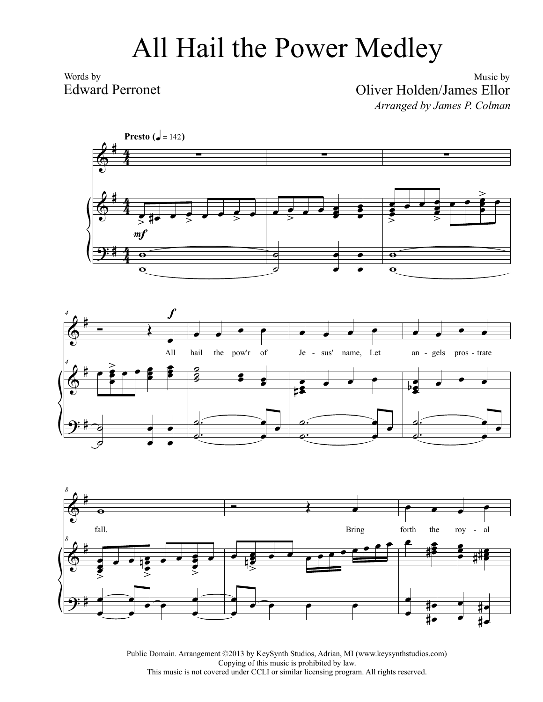## All Hail the Power Medley

Words by Edward Perronet

Music by Oliver Holden/James Ellor *Arranged by James P. Colman*



Public Domain. Arrangement ©2013 by KeySynth Studios, Adrian, MI (www.keysynthstudios.com) Copying of this music is prohibited by law. This music is not covered under CCLI or similar licensing program. All rights reserved.